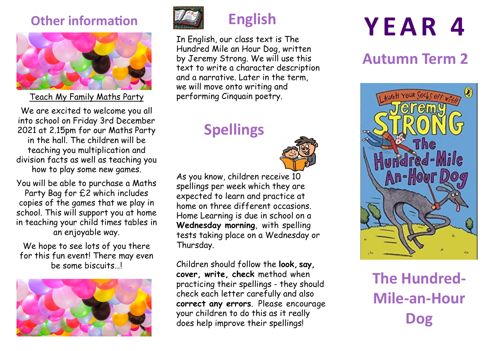#### **Other information**



Teach My Family Maths Party

We are excited to welcome you all into school on Friday 3rd December 2021 at 2.15pm for our Maths Party in the hall. The children will be teaching you multiplication and division facts as well as teaching you how to play some new games.

You will be able to purchase a Maths Party Bag for £2 which includes copies of the games that we play in school. This will support you at home in teaching your child times tables in an enjoyable way.

We hope to see lots of you there for this fun event! There may even be some biscuits…!





## **English**

In English, our class text is The Hundred Mile an Hour Dog, written by Jeremy Strong. We will use this text to write a character description and a narrative. Later in the term, we will move onto writing and performing Cinquain poetry.

## **Spellings**



As you know, children receive 10 spellings per week which they are expected to learn and practice at home on three different occasions. Home Learning is due in school on a **Wednesday morning**, with spelling tests taking place on a Wednesday or Thursday.

Children should follow the **look, say, cover, write, check** method when practicing their spellings - they should check each letter carefully and also **correct any errors**. Please encourage your children to do this as it really does help improve their spellings!

# **Y E A R 4**

### **Autumn Term 2**



**The Hundred-Mile-an-Hour Dog**